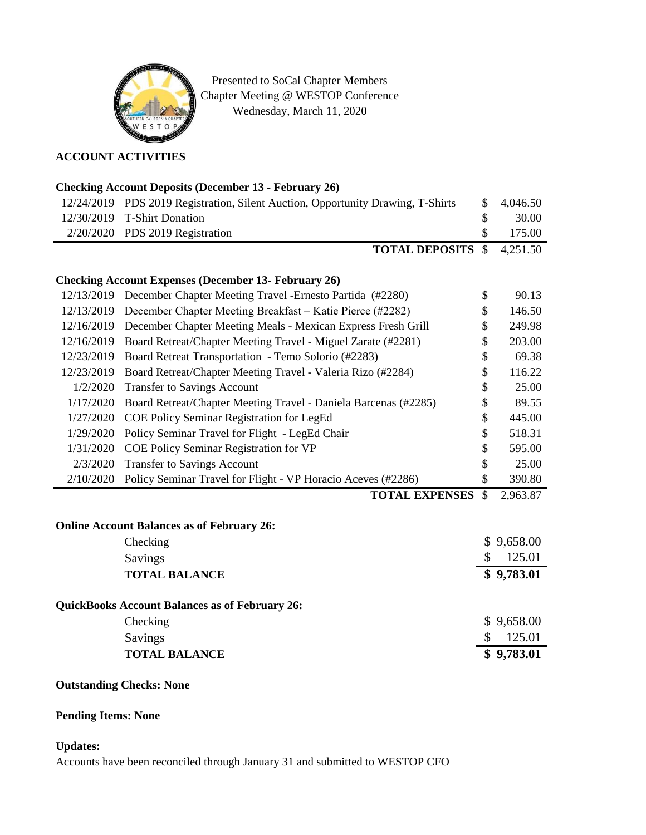

Presented to SoCal Chapter Members Chapter Meeting @ WESTOP Conference Wednesday, March 11, 2020

### **ACCOUNT ACTIVITIES**

# **Checking Account Deposits (December 13 - February 26)**

| 12/24/2019                                                  | PDS 2019 Registration, Silent Auction, Opportunity Drawing, T-Shirts    | \$            | 4,046.50   |
|-------------------------------------------------------------|-------------------------------------------------------------------------|---------------|------------|
| 12/30/2019                                                  | <b>T-Shirt Donation</b>                                                 | \$            | 30.00      |
| 2/20/2020                                                   | PDS 2019 Registration                                                   | \$            | 175.00     |
|                                                             | <b>TOTAL DEPOSITS</b>                                                   | $\mathcal{S}$ | 4,251.50   |
|                                                             |                                                                         |               |            |
| <b>Checking Account Expenses (December 13- February 26)</b> |                                                                         |               |            |
|                                                             | 12/13/2019 December Chapter Meeting Travel -Ernesto Partida (#2280)     | \$            | 90.13      |
| 12/13/2019                                                  | December Chapter Meeting Breakfast – Katie Pierce (#2282)               | \$            | 146.50     |
|                                                             | 12/16/2019 December Chapter Meeting Meals - Mexican Express Fresh Grill | \$            | 249.98     |
| 12/16/2019                                                  | Board Retreat/Chapter Meeting Travel - Miguel Zarate (#2281)            | \$            | 203.00     |
| 12/23/2019                                                  | Board Retreat Transportation - Temo Solorio (#2283)                     | \$            | 69.38      |
| 12/23/2019                                                  | Board Retreat/Chapter Meeting Travel - Valeria Rizo (#2284)             | \$            | 116.22     |
| 1/2/2020                                                    | <b>Transfer to Savings Account</b>                                      | \$            | 25.00      |
| 1/17/2020                                                   | Board Retreat/Chapter Meeting Travel - Daniela Barcenas (#2285)         | \$            | 89.55      |
| 1/27/2020                                                   | COE Policy Seminar Registration for LegEd                               | \$            | 445.00     |
| 1/29/2020                                                   | Policy Seminar Travel for Flight - LegEd Chair                          | \$            | 518.31     |
| 1/31/2020                                                   | COE Policy Seminar Registration for VP                                  | \$            | 595.00     |
| 2/3/2020                                                    | <b>Transfer to Savings Account</b>                                      | \$            | 25.00      |
| 2/10/2020                                                   | Policy Seminar Travel for Flight - VP Horacio Aceves (#2286)            | \$            | 390.80     |
|                                                             | <b>TOTAL EXPENSES</b>                                                   | $\mathcal{S}$ | 2,963.87   |
|                                                             |                                                                         |               |            |
|                                                             | <b>Online Account Balances as of February 26:</b>                       |               |            |
|                                                             | Checking                                                                |               | \$9,658.00 |
|                                                             | Savings                                                                 | \$            | 125.01     |
|                                                             | <b>TOTAL BALANCE</b>                                                    |               | \$9,783.01 |
|                                                             |                                                                         |               |            |
| <b>QuickBooks Account Balances as of February 26:</b>       |                                                                         |               |            |
|                                                             | Checking                                                                |               | \$9,658.00 |
|                                                             | Savings                                                                 | \$            | 125.01     |
|                                                             | <b>TOTAL BALANCE</b>                                                    |               | \$9,783.01 |

### **Outstanding Checks: None**

## **Pending Items: None**

#### **Updates:**

Accounts have been reconciled through January 31 and submitted to WESTOP CFO